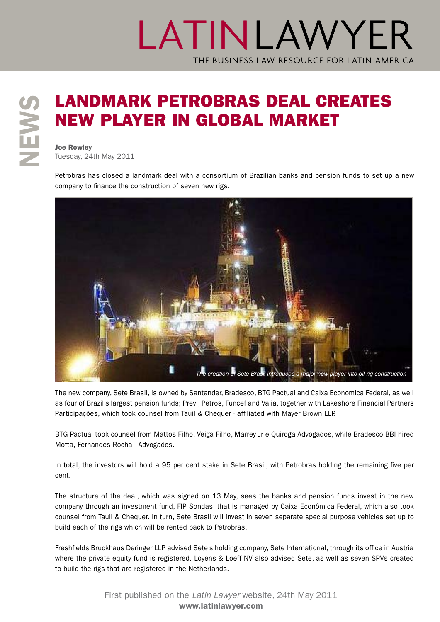# **SOUT AND MARK PETROBRAS DEAL CREATES**<br>
NEW PLAYER IN GLOBAL MARKET<br>
New Rowley<br>
New Rowley<br>
New 24th May 2011 new player in global market

Joe Rowley Tuesday, 24th May 2011

Petrobras has closed a landmark deal with a consortium of Brazilian banks and pension funds to set up a new company to finance the construction of seven new rigs.



The new company, Sete Brasil, is owned by Santander, Bradesco, BTG Pactual and Caixa Economica Federal, as well as four of Brazil's largest pension funds; Previ, Petros, Funcef and Valia, together with Lakeshore Financial Partners Participações, which took counsel from Tauil & Chequer - affiliated with Mayer Brown LLP.

BTG Pactual took counsel from Mattos Filho, Veiga Filho, Marrey Jr e Quiroga Advogados, while Bradesco BBI hired Motta, Fernandes Rocha - Advogados.

In total, the investors will hold a 95 per cent stake in Sete Brasil, with Petrobras holding the remaining five per cent.

The structure of the deal, which was signed on 13 May, sees the banks and pension funds invest in the new company through an investment fund, FIP Sondas, that is managed by Caixa Econômica Federal, which also took counsel from Tauil & Chequer. In turn, Sete Brasil will invest in seven separate special purpose vehicles set up to build each of the rigs which will be rented back to Petrobras.

Freshfields Bruckhaus Deringer LLP advised Sete's holding company, Sete International, through its office in Austria where the private equity fund is registered. Loyens & Loeff NV also advised Sete, as well as seven SPVs created to build the rigs that are registered in the Netherlands.

> First published on the *Latin Lawyer* [website, 24th May 2011](http://www.latinlawyer.com/news/article/41928/landmark-petrobras-deal-creates-new-player-global-market/) www.latinlawyer.com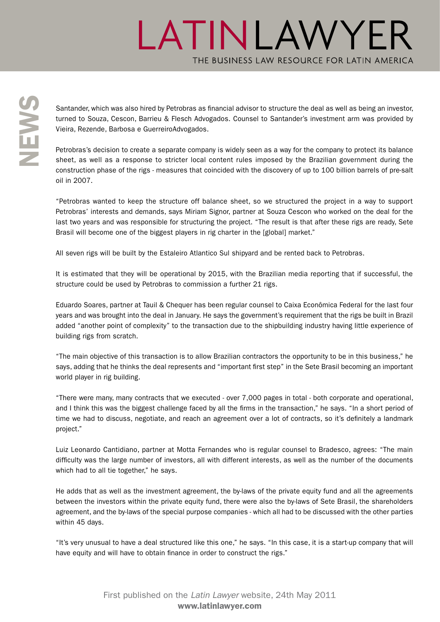Santander, which was also hired by Petrobras as financial advisor to structure the deal as well as being an investor, turned to Souza, Cescon, Barrieu & Flesch Advogados. Counsel to Santander's investment arm was provided turned to Souza, Cescon, Barrieu & Flesch Advogados. Counsel to Santander's investment arm was provided by Vieira, Rezende, Barbosa e GuerreiroAdvogados.

Petrobras's decision to create a separate company is widely seen as a way for the company to protect its balance sheet, as well as a response to stricter local content rules imposed by the Brazilian government during the construction phase of the rigs - measures that coincided with the discovery of up to 100 billion barrels of pre-salt oil in 2007.

"Petrobras wanted to keep the structure off balance sheet, so we structured the project in a way to support Petrobras' interests and demands, says Miriam Signor, partner at Souza Cescon who worked on the deal for the last two years and was responsible for structuring the project. "The result is that after these rigs are ready, Sete Brasil will become one of the biggest players in rig charter in the [global] market."

All seven rigs will be built by the Estaleiro Atlantico Sul shipyard and be rented back to Petrobras.

It is estimated that they will be operational by 2015, with the Brazilian media reporting that if successful, the structure could be used by Petrobras to commission a further 21 rigs.

Eduardo Soares, partner at Tauil & Chequer has been regular counsel to Caixa Econômica Federal for the last four years and was brought into the deal in January. He says the government's requirement that the rigs be built in Brazil added "another point of complexity" to the transaction due to the shipbuilding industry having little experience of building rigs from scratch.

"The main objective of this transaction is to allow Brazilian contractors the opportunity to be in this business," he says, adding that he thinks the deal represents and "important first step" in the Sete Brasil becoming an important world player in rig building.

"There were many, many contracts that we executed - over 7,000 pages in total - both corporate and operational, and I think this was the biggest challenge faced by all the firms in the transaction," he says. "In a short period of time we had to discuss, negotiate, and reach an agreement over a lot of contracts, so it's definitely a landmark project."

Luiz Leonardo Cantidiano, partner at Motta Fernandes who is regular counsel to Bradesco, agrees: "The main difficulty was the large number of investors, all with different interests, as well as the number of the documents which had to all tie together," he says.

He adds that as well as the investment agreement, the by-laws of the private equity fund and all the agreements between the investors within the private equity fund, there were also the by-laws of Sete Brasil, the shareholders agreement, and the by-laws of the special purpose companies - which all had to be discussed with the other parties within 45 days.

"It's very unusual to have a deal structured like this one," he says. "In this case, it is a start-up company that will have equity and will have to obtain finance in order to construct the rigs."

> First published on the *Latin Lawyer* [website, 24th May 2011](http://www.latinlawyer.com/news/article/41928/landmark-petrobras-deal-creates-new-player-global-market/) www.latinlawyer.com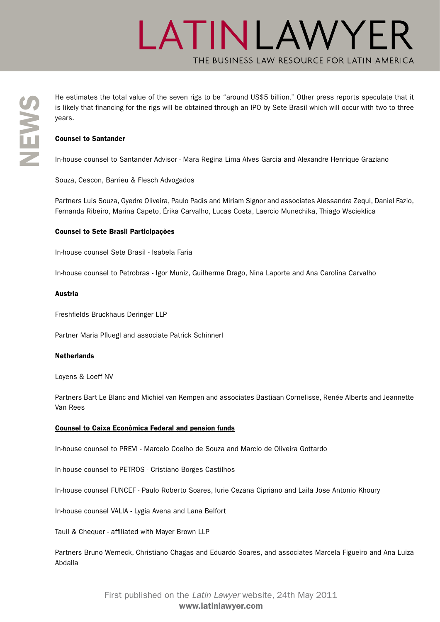The estimates the total value of the seven rigs to be "around US\$5 billion." Other press reports speculate that it<br>is likely that financing for the rigs will be obtained through an IPO by Sete Brasil which will occur with is likely that financing for the rigs will be obtained through an IPO by Sete Brasil which will occur with two to three years.

### Counsel to Santander

In-house counsel to Santander Advisor - Mara Regina Lima Alves Garcia and Alexandre Henrique Graziano

Souza, Cescon, Barrieu & Flesch Advogados

Partners Luis Souza, Gyedre Oliveira, Paulo Padis and Miriam Signor and associates Alessandra Zequi, Daniel Fazio, Fernanda Ribeiro, Marina Capeto, Érika Carvalho, Lucas Costa, Laercio Munechika, Thiago Wscieklica

#### Counsel to Sete Brasil Participações

In-house counsel Sete Brasil - Isabela Faria

In-house counsel to Petrobras - Igor Muniz, Guilherme Drago, Nina Laporte and Ana Carolina Carvalho

#### Austria

Freshfields Bruckhaus Deringer LLP

Partner Maria Pfluegl and associate Patrick Schinnerl

#### **Netherlands**

Loyens & Loeff NV

Partners Bart Le Blanc and Michiel van Kempen and associates Bastiaan Cornelisse, Renée Alberts and Jeannette Van Rees

#### Counsel to Caixa Econômica Federal and pension funds

In-house counsel to PREVI - Marcelo Coelho de Souza and Marcio de Oliveira Gottardo

In-house counsel to PETROS - Cristiano Borges Castilhos

In-house counsel FUNCEF - Paulo Roberto Soares, Iurie Cezana Cipriano and Laila Jose Antonio Khoury

In-house counsel VALIA - Lygia Avena and Lana Belfort

Tauil & Chequer - affiliated with Mayer Brown LLP

Partners Bruno Werneck, Christiano Chagas and Eduardo Soares, and associates Marcela Figueiro and Ana Luiza Abdalla

> First published on the *Latin Lawyer* [website, 24th May 2011](http://www.latinlawyer.com/news/article/41928/landmark-petrobras-deal-creates-new-player-global-market/) www.latinlawyer.com